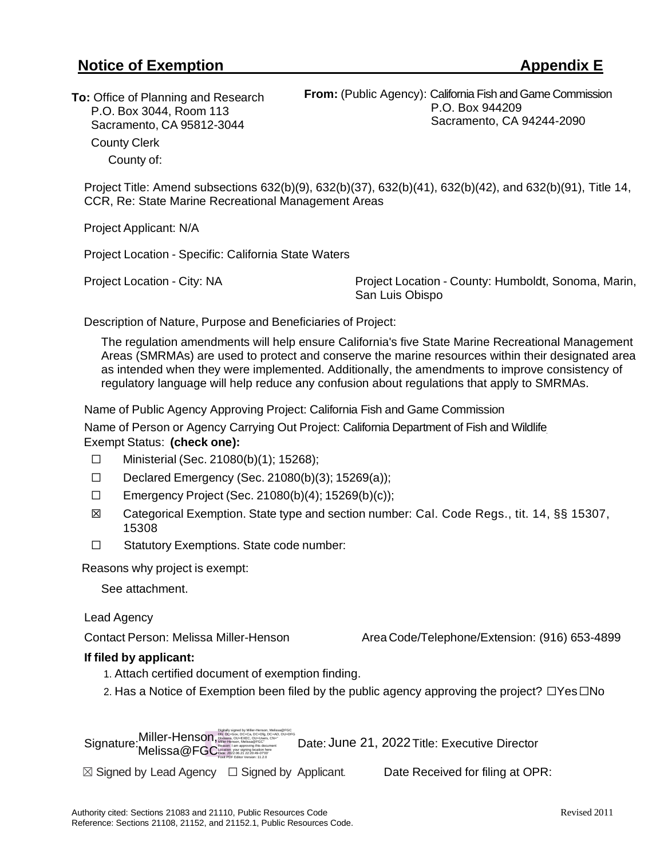## **Notice of Exemption Appendix E**

**To:** Office of Planning and Research P.O. Box 3044, Room 113 Sacramento, CA 95812-3044 County Clerk County of:

**From:** (Public Agency): California Fish and Game Commission P.O. Box 944209 Sacramento, CA 94244-2090

Project Title: Amend subsections 632(b)(9), 632(b)(37), 632(b)(41), 632(b)(42), and 632(b)(91), Title 14, CCR, Re: State Marine Recreational Management Areas

Project Applicant: N/A

Project Location - Specific: California State Waters

Project Location - City: NA Project Location - County: Humboldt, Sonoma, Marin, San Luis Obispo

Description of Nature, Purpose and Beneficiaries of Project:

The regulation amendments will help ensure California's five State Marine Recreational Management Areas (SMRMAs) are used to protect and conserve the marine resources within their designated area as intended when they were implemented. Additionally, the amendments to improve consistency of regulatory language will help reduce any confusion about regulations that apply to SMRMAs.

Name of Public Agency Approving Project: California Fish and Game Commission

Name of Person or Agency Carrying Out Project: California Department of Fish and Wildlife Exempt Status: **(check one):**

- ☐ Ministerial (Sec. 21080(b)(1); 15268);
- ☐ Declared Emergency (Sec. 21080(b)(3); 15269(a));
- ☐ Emergency Project (Sec. 21080(b)(4); 15269(b)(c));
- ☒ Categorical Exemption. State type and section number: Cal. Code Regs., tit. 14, §§ 15307, 15308
- ☐ Statutory Exemptions. State code number:

Reasons why project is exempt:

See attachment.

Lead Agency

Contact Person: Melissa Miller-Henson Area Code/Telephone/Extension: (916) 653-4899

## **If filed by applicant:**

- 1. Attach certified document of exemption finding.
- 2. Has a Notice of Exemption been filed by the public agency approving the project? □Yes□No

Signature: Willier-Herison, Allen And Disconsition Constant Consideration Date: June 21, 2022 Title: Executive Director Digitally signed by Miller-Henson, Melissa@FGC DN: DC=Gov, DC=Ca, DC=Dfg, DC=AD, OU=DFG Divisions, OU=EXEC, OU=Users, CN=" Miller-Henson, Melissa@FGC" Location: your signing location here Date: 2022.06.21 22:20:49-07'00' Reason: I am approving this document Foxit PDF Editor Version: 11.2.0 **Miller-Henson,** Melissa@FGC

 $\boxtimes$  Signed by Lead Agency  $\Box$  Signed by Applicant. Date Received for filing at OPR: